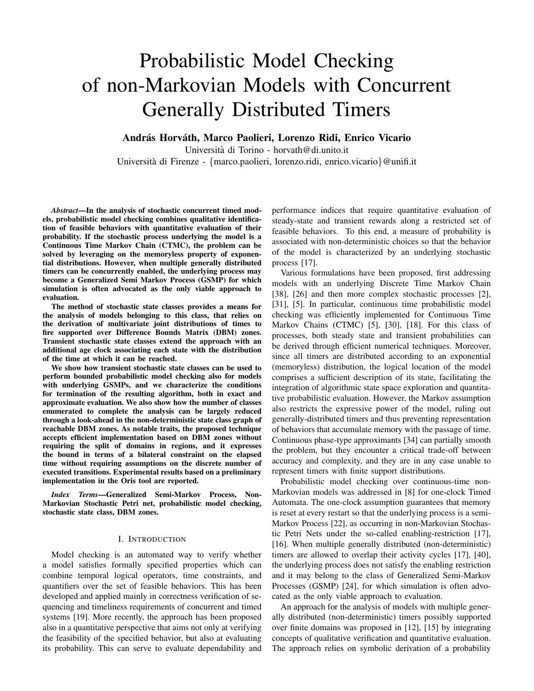# Probabilistic Model Checking of non-Markovian Models with Concurrent Generally Distributed Timers

András Horváth, Marco Paolieri, Lorenzo Ridi, Enrico Vicario

Universita di Torino - horvath@di.unito.it ` Università di Firenze - {marco.paolieri, lorenzo.ridi, enrico.vicario}@unifi.it

*Abstract*—In the analysis of stochastic concurrent timed models, probabilistic model checking combines qualitative identification of feasible behaviors with quantitative evaluation of their probability. If the stochastic process underlying the model is a Continuous Time Markov Chain (CTMC), the problem can be solved by leveraging on the memoryless property of exponential distributions. However, when multiple generally distributed timers can be concurrently enabled, the underlying process may become a Generalized Semi Markov Process (GSMP) for which simulation is often advocated as the only viable approach to evaluation.

The method of stochastic state classes provides a means for the analysis of models belonging to this class, that relies on the derivation of multivariate joint distributions of times to fire supported over Difference Bounds Matrix (DBM) zones. Transient stochastic state classes extend the approach with an additional age clock associating each state with the distribution of the time at which it can be reached.

We show how transient stochastic state classes can be used to perform bounded probabilistic model checking also for models with underlying GSMPs, and we characterize the conditions for termination of the resulting algorithm, both in exact and approximate evaluation. We also show how the number of classes enumerated to complete the analysis can be largely reduced through a look-ahead in the non-deterministic state class graph of reachable DBM zones. As notable traits, the proposed technique accepts efficient implementation based on DBM zones without requiring the split of domains in regions, and it expresses the bound in terms of a bilateral constraint on the elapsed time without requiring assumptions on the discrete number of executed transitions. Experimental results based on a preliminary implementation in the Oris tool are reported.

*Index Terms*—Generalized Semi-Markov Process, Non-Markovian Stochastic Petri net, probabilistic model checking, stochastic state class, DBM zones.

# I. INTRODUCTION

Model checking is an automated way to verify whether a model satisfies formally specified properties which can combine temporal logical operators, time constraints, and quantifiers over the set of feasible behaviors. This has been developed and applied mainly in correctness verification of sequencing and timeliness requirements of concurrent and timed systems [19]. More recently, the approach has been proposed also in a quantitative perspective that aims not only at verifying the feasibility of the specified behavior, but also at evaluating its probability. This can serve to evaluate dependability and performance indices that require quantitative evaluation of steady-state and transient rewards along a restricted set of feasible behaviors. To this end, a measure of probability is associated with non-deterministic choices so that the behavior of the model is characterized by an underlying stochastic process [17].

Various formulations have been proposed, first addressing models with an underlying Discrete Time Markov Chain [38], [26] and then more complex stochastic processes [2], [31], [5]. In particular, continuous time probabilistic model checking was efficiently implemented for Continuous Time Markov Chains (CTMC) [5], [30], [18]. For this class of processes, both steady state and transient probabilities can be derived through efficient numerical techniques. Moreover, since all timers are distributed according to an exponential (memoryless) distribution, the logical location of the model comprises a sufficient description of its state, facilitating the integration of algorithmic state space exploration and quantitative probabilistic evaluation. However, the Markov assumption also restricts the expressive power of the model, ruling out generally-distributed timers and thus preventing representation of behaviors that accumulate memory with the passage of time. Continuous phase-type approximants [34] can partially smooth the problem, but they encounter a critical trade-off between accuracy and complexity, and they are in any case unable to represent timers with finite support distributions.

Probabilistic model checking over continuous-time non-Markovian models was addressed in [8] for one-clock Timed Automata. The one-clock assumption guarantees that memory is reset at every restart so that the underlying process is a semi-Markov Process [22], as occurring in non-Markovian Stochastic Petri Nets under the so-called enabling-restriction [17], [16]. When multiple generally distributed (non-deterministic) timers are allowed to overlap their activity cycles [17], [40], the underlying process does not satisfy the enabling restriction and it may belong to the class of Generalized Semi-Markov Processes (GSMP) [24], for which simulation is often advocated as the only viable approach to evaluation.

An approach for the analysis of models with multiple generally distributed (non-deterministic) timers possibly supported over finite domains was proposed in [12], [15] by integrating concepts of qualitative verification and quantitative evaluation. The approach relies on symbolic derivation of a probability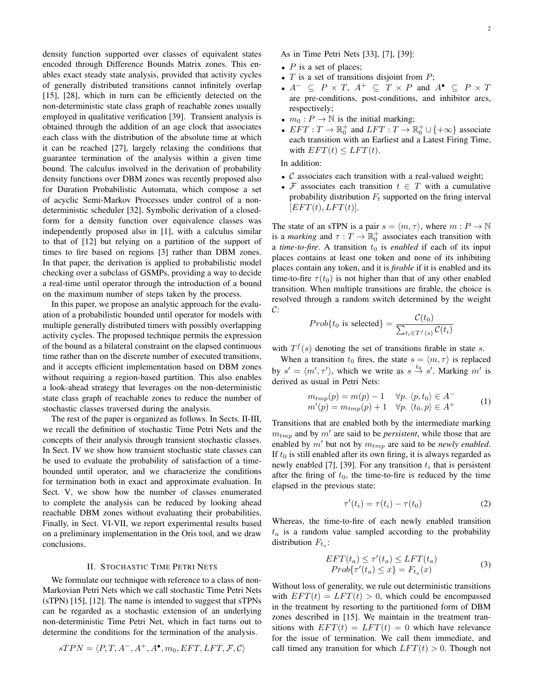density function supported over classes of equivalent states encoded through Difference Bounds Matrix zones. This enables exact steady state analysis, provided that activity cycles of generally distributed transitions cannot infinitely overlap [15], [28], which in turn can be efficiently detected on the non-deterministic state class graph of reachable zones usually employed in qualitative verification [39]. Transient analysis is obtained through the addition of an age clock that associates each class with the distribution of the absolute time at which it can be reached [27], largely relaxing the conditions that guarantee termination of the analysis within a given time bound. The calculus involved in the derivation of probability density functions over DBM zones was recently proposed also for Duration Probabilistic Automata, which compose a set of acyclic Semi-Markov Processes under control of a nondeterministic scheduler [32]. Symbolic derivation of a closedform for a density function over equivalence classes was independently proposed also in [1], with a calculus similar to that of [12] but relying on a partition of the support of times to fire based on regions [3] rather than DBM zones. In that paper, the derivation is applied to probabilistic model checking over a subclass of GSMPs, providing a way to decide a real-time until operator through the introduction of a bound on the maximum number of steps taken by the process.

In this paper, we propose an analytic approach for the evaluation of a probabilistic bounded until operator for models with multiple generally distributed timers with possibly overlapping activity cycles. The proposed technique permits the expression of the bound as a bilateral constraint on the elapsed continuous time rather than on the discrete number of executed transitions, and it accepts efficient implementation based on DBM zones without requiring a region-based partition. This also enables a look-ahead strategy that leverages on the non-deterministic state class graph of reachable zones to reduce the number of stochastic classes traversed during the analysis.

The rest of the paper is organized as follows. In Sects. II-III, we recall the definition of stochastic Time Petri Nets and the concepts of their analysis through transient stochastic classes. In Sect. IV we show how transient stochastic state classes can be used to evaluate the probability of satisfaction of a timebounded until operator, and we characterize the conditions for termination both in exact and approximate evaluation. In Sect. V, we show how the number of classes enumerated to complete the analysis can be reduced by looking ahead reachable DBM zones without evaluating their probabilities. Finally, in Sect. VI-VII, we report experimental results based on a preliminary implementation in the Oris tool, and we draw conclusions.

# II. STOCHASTIC TIME PETRI NETS

We formulate our technique with reference to a class of non-Markovian Petri Nets which we call stochastic Time Petri Nets (sTPN) [15], [12]. The name is intended to suggest that sTPNs can be regarded as a stochastic extension of an underlying non-deterministic Time Petri Net, which in fact turns out to determine the conditions for the termination of the analysis.

$$
sTPN = \langle P, T, A^-, A^+, A^{\bullet}, m_0, EFT, LFT, \mathcal{F}, \mathcal{C} \rangle
$$

As in Time Petri Nets [33], [7], [39]:

- $P$  is a set of places;
- $T$  is a set of transitions disjoint from  $P$ ;
- $A^- \subseteq P \times T$ ,  $A^+ \subseteq T \times P$  and  $A^{\bullet} \subseteq P \times T$ are pre-conditions, post-conditions, and inhibitor arcs, respectively;
- $m_0: P \to \mathbb{N}$  is the initial marking;
- $EFT: T \to \mathbb{R}_0^+$  and  $LFT: T \to \mathbb{R}_0^+ \cup \{+\infty\}$  associate each transition with an Earliest and a Latest Firing Time, with  $EFT(t) \leq LFT(t)$ .

In addition:

- $\mathcal C$  associates each transition with a real-valued weight;
- F associates each transition  $t \in T$  with a cumulative probability distribution  $F_t$  supported on the firing interval  $EFT(t), EFT(t)$ .

The state of an sTPN is a pair  $s = \langle m, \tau \rangle$ , where  $m : P \to \mathbb{N}$ is a *marking* and  $\tau: T \to \mathbb{R}_0^+$  associates each transition with a *time-to-fire*. A transition  $t_0$  is *enabled* if each of its input places contains at least one token and none of its inhibiting places contain any token, and it is *firable* if it is enabled and its time-to-fire  $\tau(t_0)$  is not higher than that of any other enabled transition. When multiple transitions are firable, the choice is resolved through a random switch determined by the weight  $\mathcal{C}$ :

$$
Prob\{t_0 \text{ is selected}\} = \frac{\mathcal{C}(t_0)}{\sum_{t_i \in T^f(s)} \mathcal{C}(t_i)}
$$

with  $T<sup>f</sup>(s)$  denoting the set of transitions firable in state s.

When a transition  $t_0$  fires, the state  $s = \langle m, \tau \rangle$  is replaced by  $s' = \langle m', \tau' \rangle$ , which we write as  $s \stackrel{t_0}{\to} s'$ . Marking m' is derived as usual in Petri Nets:

$$
m_{tmp}(p) = m(p) - 1 \quad \forall p. \langle p, t_0 \rangle \in A^-
$$
  
\n
$$
m'(p) = m_{tmp}(p) + 1 \quad \forall p. \langle t_0, p \rangle \in A^+
$$
\n(1)

Transitions that are enabled both by the intermediate marking  $m_{tmp}$  and by  $m'$  are said to be *persistent*, while those that are enabled by  $m'$  but not by  $m_{tmp}$  are said to be *newly enabled*. If  $t_0$  is still enabled after its own firing, it is always regarded as newly enabled [7], [39]. For any transition  $t_i$  that is persistent after the firing of  $t_0$ , the time-to-fire is reduced by the time elapsed in the previous state:

$$
\tau'(t_i) = \tau(t_i) - \tau(t_0) \tag{2}
$$

Whereas, the time-to-fire of each newly enabled transition  $t_a$  is a random value sampled according to the probability distribution  $F_{t_a}$ :

$$
EFT(t_a) \le \tau'(t_a) \le LFT(t_a)
$$
  
\n
$$
Prob{\tau'(t_a) \le x} = F_{t_a}(x)
$$
 (3)

Without loss of generality, we rule out deterministic transitions with  $EFT(t) = LFT(t) > 0$ , which could be encompassed in the treatment by resorting to the partitioned form of DBM zones described in [15]. We maintain in the treatment transitions with  $EFT(t) = LFT(t) = 0$  which have relevance for the issue of termination. We call them immediate, and call timed any transition for which  $LFT(t) > 0$ . Though not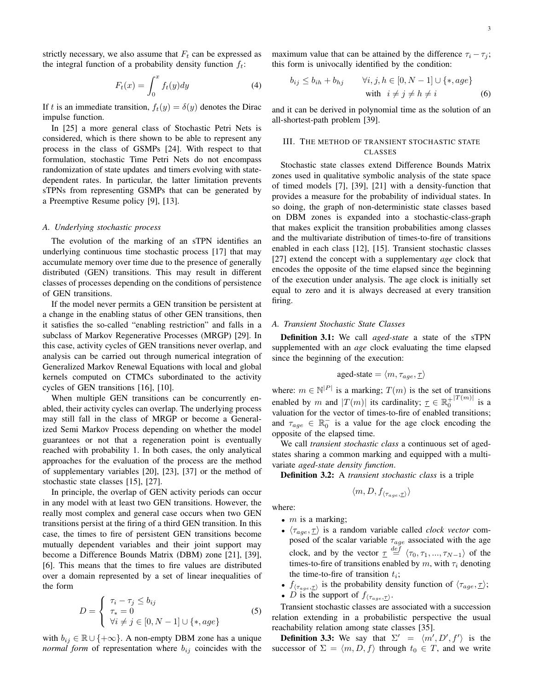strictly necessary, we also assume that  $F_t$  can be expressed as the integral function of a probability density function  $f_t$ :

$$
F_t(x) = \int_0^x f_t(y) dy
$$
 (4)

If t is an immediate transition,  $f_t(y) = \delta(y)$  denotes the Dirac impulse function.

In [25] a more general class of Stochastic Petri Nets is considered, which is there shown to be able to represent any process in the class of GSMPs [24]. With respect to that formulation, stochastic Time Petri Nets do not encompass randomization of state updates and timers evolving with statedependent rates. In particular, the latter limitation prevents sTPNs from representing GSMPs that can be generated by a Preemptive Resume policy [9], [13].

#### *A. Underlying stochastic process*

The evolution of the marking of an sTPN identifies an underlying continuous time stochastic process [17] that may accumulate memory over time due to the presence of generally distributed (GEN) transitions. This may result in different classes of processes depending on the conditions of persistence of GEN transitions.

If the model never permits a GEN transition be persistent at a change in the enabling status of other GEN transitions, then it satisfies the so-called "enabling restriction" and falls in a subclass of Markov Regenerative Processes (MRGP) [29]. In this case, activity cycles of GEN transitions never overlap, and analysis can be carried out through numerical integration of Generalized Markov Renewal Equations with local and global kernels computed on CTMCs subordinated to the activity cycles of GEN transitions [16], [10].

When multiple GEN transitions can be concurrently enabled, their activity cycles can overlap. The underlying process may still fall in the class of MRGP or become a Generalized Semi Markov Process depending on whether the model guarantees or not that a regeneration point is eventually reached with probability 1. In both cases, the only analytical approaches for the evaluation of the process are the method of supplementary variables [20], [23], [37] or the method of stochastic state classes [15], [27].

In principle, the overlap of GEN activity periods can occur in any model with at least two GEN transitions. However, the really most complex and general case occurs when two GEN transitions persist at the firing of a third GEN transition. In this case, the times to fire of persistent GEN transitions become mutually dependent variables and their joint support may become a Difference Bounds Matrix (DBM) zone [21], [39], [6]. This means that the times to fire values are distributed over a domain represented by a set of linear inequalities of the form

$$
D = \begin{cases} \tau_i - \tau_j \le b_{ij} \\ \tau_* = 0 \\ \forall i \ne j \in [0, N-1] \cup \{*, age\} \end{cases}
$$
(5)

with  $b_{ij} \in \mathbb{R} \cup \{+\infty\}$ . A non-empty DBM zone has a unique *normal form* of representation where  $b_{ij}$  coincides with the maximum value that can be attained by the difference  $\tau_i - \tau_j$ ; this form is univocally identified by the condition:

$$
b_{ij} \le b_{ih} + b_{hj} \qquad \forall i, j, h \in [0, N-1] \cup \{*, age\}
$$
  
with  $i \ne j \ne h \ne i$  (6)

and it can be derived in polynomial time as the solution of an all-shortest-path problem [39].

# III. THE METHOD OF TRANSIENT STOCHASTIC STATE CLASSES

Stochastic state classes extend Difference Bounds Matrix zones used in qualitative symbolic analysis of the state space of timed models [7], [39], [21] with a density-function that provides a measure for the probability of individual states. In so doing, the graph of non-deterministic state classes based on DBM zones is expanded into a stochastic-class-graph that makes explicit the transition probabilities among classes and the multivariate distribution of times-to-fire of transitions enabled in each class [12], [15]. Transient stochastic classes [27] extend the concept with a supplementary *age* clock that encodes the opposite of the time elapsed since the beginning of the execution under analysis. The age clock is initially set equal to zero and it is always decreased at every transition firing.

## *A. Transient Stochastic State Classes*

Definition 3.1: We call *aged-state* a state of the sTPN supplemented with an *age* clock evaluating the time elapsed since the beginning of the execution:

$$
aged-state = \langle m, \tau_{age}, \underline{\tau} \rangle
$$

where:  $m \in \mathbb{N}^{|P|}$  is a marking;  $T(m)$  is the set of transitions enabled by m and  $|T(m)|$  its cardinality;  $\underline{\tau} \in \mathbb{R}_0^+$  $|T(m)|$  is a valuation for the vector of times-to-fire of enabled transitions; and  $\tau_{age} \in \mathbb{R}^-_0$  is a value for the age clock encoding the opposite of the elapsed time.

We call *transient stochastic class* a continuous set of agedstates sharing a common marking and equipped with a multivariate *aged-state density function*.

Definition 3.2: A *transient stochastic class* is a triple

$$
\langle m, D, f_{\langle \tau_{age}, \underline{\tau} \rangle} \rangle
$$

where:

- $m$  is a marking;
- $\langle \tau_{age}, \tau \rangle$  is a random variable called *clock vector* composed of the scalar variable  $\tau_{age}$  associated with the age clock, and by the vector  $\underline{\tau} \stackrel{def}{=} \langle \tau_0, \tau_1, ..., \tau_{N-1} \rangle$  of the times-to-fire of transitions enabled by m, with  $\tau_i$  denoting the time-to-fire of transition  $t_i$ ;
- $f_{\langle \tau_{age}, \tau \rangle}$  is the probability density function of  $\langle \tau_{age}, \tau \rangle$ ;
- *D* is the support of  $f_{\langle \tau_{age}, \tau \rangle}$ .

Transient stochastic classes are associated with a succession relation extending in a probabilistic perspective the usual reachability relation among state classes [35].

**Definition 3.3:** We say that  $\Sigma' = \langle m', D', f' \rangle$  is the successor of  $\Sigma = \langle m, D, f \rangle$  through  $t_0 \in T$ , and we write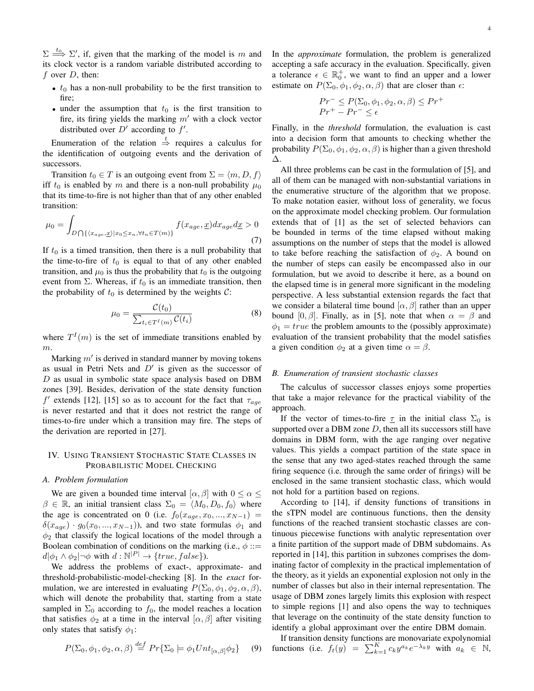$\Sigma \stackrel{t_0}{\Longrightarrow} \Sigma'$ , if, given that the marking of the model is m and its clock vector is a random variable distributed according to f over  $D$ , then:

- $t_0$  has a non-null probability to be the first transition to fire;
- under the assumption that  $t_0$  is the first transition to fire, its firing yields the marking  $m'$  with a clock vector distributed over  $D'$  according to  $f'$ .

Enumeration of the relation  $\stackrel{t}{\Rightarrow}$  requires a calculus for the identification of outgoing events and the derivation of successors.

Transition  $t_0 \in T$  is an outgoing event from  $\Sigma = \langle m, D, f \rangle$ iff  $t_0$  is enabled by m and there is a non-null probability  $\mu_0$ that its time-to-fire is not higher than that of any other enabled transition:

$$
\mu_0 = \int_D \int_{D \bigcap \{ \langle x_{age}, \underline{x} \rangle | x_0 \le x_n, \forall t_n \in T(m) \}} f(x_{age}, \underline{x}) dx_{age} d\underline{x} > 0
$$
\n(7)

If  $t_0$  is a timed transition, then there is a null probability that the time-to-fire of  $t_0$  is equal to that of any other enabled transition, and  $\mu_0$  is thus the probability that  $t_0$  is the outgoing event from  $\Sigma$ . Whereas, if  $t_0$  is an immediate transition, then the probability of  $t_0$  is determined by the weights  $C$ :

$$
\mu_0 = \frac{\mathcal{C}(t_0)}{\sum_{t_i \in T^I(m)} \mathcal{C}(t_i)}\tag{8}
$$

where  $T^{I}(m)$  is the set of immediate transitions enabled by m.

Marking  $m'$  is derived in standard manner by moving tokens as usual in Petri Nets and  $D'$  is given as the successor of D as usual in symbolic state space analysis based on DBM zones [39]. Besides, derivation of the state density function f' extends [12], [15] so as to account for the fact that  $\tau_{age}$ is never restarted and that it does not restrict the range of times-to-fire under which a transition may fire. The steps of the derivation are reported in [27].

# IV. USING TRANSIENT STOCHASTIC STATE CLASSES IN PROBABILISTIC MODEL CHECKING

## *A. Problem formulation*

We are given a bounded time interval  $[\alpha, \beta]$  with  $0 \le \alpha \le$  $\beta \in \mathbb{R}$ , an initial transient class  $\Sigma_0 = \langle M_0, D_0, f_0 \rangle$  where the age is concentrated on 0 (i.e.  $f_0(x_{age}, x_0, ..., x_{N-1})$  =  $\delta(x_{age}) \cdot g_0(x_0, ..., x_{N-1})$ , and two state formulas  $\phi_1$  and  $\phi_2$  that classify the logical locations of the model through a Boolean combination of conditions on the marking (i.e.,  $\phi$  ::=  $d|\phi_1 \wedge \phi_2| \neg \phi$  with  $d : \mathbb{N}^{|P|} \rightarrow \{true, false\}.$ 

We address the problems of exact-, approximate- and threshold-probabilistic-model-checking [8]. In the *exact* formulation, we are interested in evaluating  $P(\Sigma_0, \phi_1, \phi_2, \alpha, \beta)$ , which will denote the probability that, starting from a state sampled in  $\Sigma_0$  according to  $f_0$ , the model reaches a location that satisfies  $\phi_2$  at a time in the interval  $[\alpha, \beta]$  after visiting only states that satisfy  $\phi_1$ :

$$
P(\Sigma_0, \phi_1, \phi_2, \alpha, \beta) \stackrel{def}{=} Pr\{\Sigma_0 \models \phi_1 Unt_{[\alpha, \beta]} \phi_2\} \tag{9}
$$

In the *approximate* formulation, the problem is generalized accepting a safe accuracy in the evaluation. Specifically, given a tolerance  $\epsilon \in \mathbb{R}_0^+$ , we want to find an upper and a lower estimate on  $P(\Sigma_0, \phi_1, \phi_2, \alpha, \beta)$  that are closer than  $\epsilon$ :

$$
Pr^{-} \le P(\Sigma_0, \phi_1, \phi_2, \alpha, \beta) \le Pr^{+}
$$
  

$$
Pr^{+} - Pr^{-} \le \epsilon
$$

Finally, in the *threshold* formulation, the evaluation is cast into a decision form that amounts to checking whether the probability  $P(\Sigma_0, \phi_1, \phi_2, \alpha, \beta)$  is higher than a given threshold ∆.

All three problems can be cast in the formulation of [5], and all of them can be managed with non-substantial variations in the enumerative structure of the algorithm that we propose. To make notation easier, without loss of generality, we focus on the approximate model checking problem. Our formulation extends that of [1] as the set of selected behaviors can be bounded in terms of the time elapsed without making assumptions on the number of steps that the model is allowed to take before reaching the satisfaction of  $\phi_2$ . A bound on the number of steps can easily be encompassed also in our formulation, but we avoid to describe it here, as a bound on the elapsed time is in general more significant in the modeling perspective. A less substantial extension regards the fact that we consider a bilateral time bound  $[\alpha, \beta]$  rather than an upper bound [0,  $\beta$ ]. Finally, as in [5], note that when  $\alpha = \beta$  and  $\phi_1 = true$  the problem amounts to the (possibly approximate) evaluation of the transient probability that the model satisfies a given condition  $\phi_2$  at a given time  $\alpha = \beta$ .

## *B. Enumeration of transient stochastic classes*

The calculus of successor classes enjoys some properties that take a major relevance for the practical viability of the approach.

If the vector of times-to-fire  $\tau$  in the initial class  $\Sigma_0$  is supported over a DBM zone  $D$ , then all its successors still have domains in DBM form, with the age ranging over negative values. This yields a compact partition of the state space in the sense that any two aged-states reached through the same firing sequence (i.e. through the same order of firings) will be enclosed in the same transient stochastic class, which would not hold for a partition based on regions.

According to [14], if density functions of transitions in the sTPN model are continuous functions, then the density functions of the reached transient stochastic classes are continuous piecewise functions with analytic representation over a finite partition of the support made of DBM subdomains. As reported in [14], this partition in subzones comprises the dominating factor of complexity in the practical implementation of the theory, as it yields an exponential explosion not only in the number of classes but also in their internal representation. The usage of DBM zones largely limits this explosion with respect to simple regions [1] and also opens the way to techniques that leverage on the continuity of the state density function to identify a global approximant over the entire DBM domain.

If transition density functions are monovariate expolynomial functions (i.e.  $f_t(y) = \sum_{k=1}^K c_k y^{a_k} e^{-\lambda_k y}$  with  $a_k \in \mathbb{N}$ ,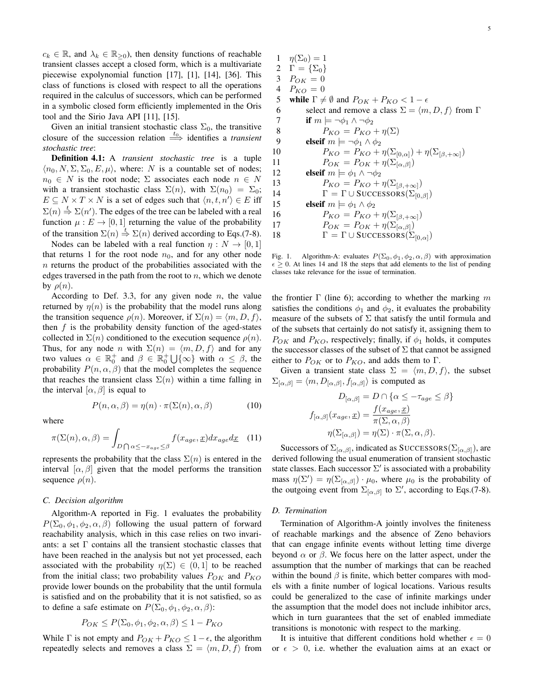5

 $c_k \in \mathbb{R}$ , and  $\lambda_k \in \mathbb{R}_{\geq 0}$ ), then density functions of reachable transient classes accept a closed form, which is a multivariate piecewise expolynomial function [17], [1], [14], [36]. This class of functions is closed with respect to all the operations required in the calculus of successors, which can be performed in a symbolic closed form efficiently implemented in the Oris tool and the Sirio Java API [11], [15].

Given an initial transient stochastic class  $\Sigma_0$ , the transitive closure of the succession relation  $\stackrel{t_0}{\Longrightarrow}$  identifies a *transient stochastic tree*:

Definition 4.1: A *transient stochastic tree* is a tuple  $\langle n_0, N, \Sigma, \Sigma_0, E, \mu \rangle$ , where: N is a countable set of nodes;  $n_0 \in N$  is the root node;  $\Sigma$  associates each node  $n \in N$ with a transient stochastic class  $\Sigma(n)$ , with  $\Sigma(n_0) = \Sigma_0$ ;  $E \subseteq N \times T \times N$  is a set of edges such that  $\langle n, t, n' \rangle \in E$  iff  $\Sigma(n) \stackrel{t}{\Rightarrow} \Sigma(n')$ . The edges of the tree can be labeled with a real function  $\mu : E \to [0, 1]$  returning the value of the probability of the transition  $\Sigma(n) \stackrel{t}{\Rightarrow} \Sigma(n)$  derived according to Eqs.(7-8).

Nodes can be labeled with a real function  $\eta : N \to [0, 1]$ that returns 1 for the root node  $n_0$ , and for any other node  $n$  returns the product of the probabilities associated with the edges traversed in the path from the root to  $n$ , which we denote by  $\rho(n)$ .

According to Def. 3.3, for any given node  $n$ , the value returned by  $\eta(n)$  is the probability that the model runs along the transition sequence  $\rho(n)$ . Moreover, if  $\Sigma(n) = \langle m, D, f \rangle$ , then  $f$  is the probability density function of the aged-states collected in  $\Sigma(n)$  conditioned to the execution sequence  $\rho(n)$ . Thus, for any node n with  $\Sigma(n) = \langle m, D, f \rangle$  and for any two values  $\alpha \in \mathbb{R}_0^+$  and  $\beta \in \mathbb{R}_0^+ \cup \{\infty\}$  with  $\alpha \leq \beta$ , the probability  $P(n, \alpha, \beta)$  that the model completes the sequence that reaches the transient class  $\Sigma(n)$  within a time falling in the interval  $[\alpha, \beta]$  is equal to

where

$$
\pi(\Sigma(n), \alpha, \beta) = \int_{D \bigcap \alpha \le -x_{age} \le \beta} f(x_{age}, \underline{x}) dx_{age} dx \quad (11)
$$

 $P(n, \alpha, \beta) = \eta(n) \cdot \pi(\Sigma(n), \alpha, \beta)$  (10)

represents the probability that the class  $\Sigma(n)$  is entered in the interval  $[\alpha, \beta]$  given that the model performs the transition sequence  $\rho(n)$ .

## *C. Decision algorithm*

Algorithm-A reported in Fig. 1 evaluates the probability  $P(\Sigma_0, \phi_1, \phi_2, \alpha, \beta)$  following the usual pattern of forward reachability analysis, which in this case relies on two invariants: a set  $\Gamma$  contains all the transient stochastic classes that have been reached in the analysis but not yet processed, each associated with the probability  $\eta(\Sigma) \in (0,1]$  to be reached from the initial class; two probability values  $P_{OK}$  and  $P_{KO}$ provide lower bounds on the probability that the until formula is satisfied and on the probability that it is not satisfied, so as to define a safe estimate on  $P(\Sigma_0, \phi_1, \phi_2, \alpha, \beta)$ :

$$
P_{OK} \le P(\Sigma_0, \phi_1, \phi_2, \alpha, \beta) \le 1 - P_{KO}
$$

While  $\Gamma$  is not empty and  $P_{OK} + P_{KO} \leq 1 - \epsilon$ , the algorithm repeatedly selects and removes a class  $\Sigma = \langle m, D, f \rangle$  from

 $\eta(\Sigma_0) = 1$ <br>2  $\Gamma = {\Sigma_0}$  $\Gamma = {\Sigma_0}$ <br>3  $P_{OK} = 0$  $P_{OK} = 0$  $P_{KO} = 0$ 5 while  $\Gamma \neq \emptyset$  and  $P_{OK} + P_{KO} < 1 - \epsilon$ <br>6 select and remove a class  $\Sigma = \langle m \rangle$ 6 select and remove a class  $\Sigma = \langle m, D, f \rangle$  from  $\Gamma$ <br>7 if  $m \models \neg \phi_1 \land \neg \phi_2$ 7 if  $m \models \neg \phi_1 \land \neg \phi_2$ <br>8  $P_{KO} = P_{KO}$  $P_{KO} = P_{KO} + \eta(\Sigma)$ <br>9 **elseif**  $m \models \neg \phi_1 \land \phi_2$ **elseif**  $m \models \neg \phi_1 \land \phi_2$ <br>10  $P_{KO} = P_{KO} +$  $P_{KO} = P_{KO} + \eta(\Sigma_{[0,\alpha]}) + \eta(\Sigma_{[\beta,+\infty]})$  $P_{OK} = P_{OK} + \eta(\Sigma_{\alpha,\beta})$ **elseif**  $m \models \phi_1 \land \neg \phi_2$ <br>13  $P_{KO} = P_{KO} +$  $P_{KO} = P_{KO} + \eta(\Sigma_{[\beta,+\infty]})$  $\Gamma = \Gamma \cup \text{SUCESSORS}(\Sigma_{[0,\beta]})$ <br>15 **elseif**  $m \models \phi_1 \land \phi_2$ **elseif**  $m \models \phi_1 \land \phi_2$ <br>16  $P_{KO} = P_{KO}$  $P_{KO} = P_{KO} + \eta(\Sigma_{\lbrack \beta, +\infty \rbrack})$  $P_{OK} = P_{OK} + \eta(\Sigma_{\alpha,\beta})$  $\Gamma = \Gamma \cup \text{SUCESSORS}(\Sigma_{[0,\alpha]})$ 

Fig. 1. Algorithm-A: evaluates  $P(\Sigma_0, \phi_1, \phi_2, \alpha, \beta)$  with approximation  $\epsilon \geq 0$ . At lines 14 and 18 the steps that add elements to the list of pending classes take relevance for the issue of termination.

the frontier  $\Gamma$  (line 6); according to whether the marking m satisfies the conditions  $\phi_1$  and  $\phi_2$ , it evaluates the probability measure of the subsets of  $\Sigma$  that satisfy the until formula and of the subsets that certainly do not satisfy it, assigning them to  $P_{OK}$  and  $P_{KO}$ , respectively; finally, if  $\phi_1$  holds, it computes the successor classes of the subset of  $\Sigma$  that cannot be assigned either to  $P_{OK}$  or to  $P_{KO}$ , and adds them to  $\Gamma$ .

Given a transient state class  $\Sigma = \langle m, D, f \rangle$ , the subset  $\Sigma_{[\alpha,\beta]} = \langle m, D_{[\alpha,\beta]}, f_{[\alpha,\beta]} \rangle$  is computed as

$$
D_{[\alpha,\beta]} = D \cap \{ \alpha \le -\tau_{age} \le \beta \}
$$

$$
f_{[\alpha,\beta]}(x_{age}, \underline{x}) = \frac{f(x_{age}, \underline{x})}{\pi(\Sigma, \alpha, \beta)}
$$

$$
\eta(\Sigma_{[\alpha,\beta]}) = \eta(\Sigma) \cdot \pi(\Sigma, \alpha, \beta).
$$

Successors of  $\Sigma_{[\alpha,\beta]}$ , indicated as SUCCESSORS( $\Sigma_{[\alpha,\beta]}$ ), are derived following the usual enumeration of transient stochastic state classes. Each successor  $\Sigma'$  is associated with a probability mass  $\eta(\Sigma') = \eta(\Sigma_{[\alpha,\beta]}) \cdot \mu_0$ , where  $\mu_0$  is the probability of the outgoing event from  $\Sigma_{[\alpha,\beta]}$  to  $\Sigma'$ , according to Eqs.(7-8).

## *D. Termination*

Termination of Algorithm-A jointly involves the finiteness of reachable markings and the absence of Zeno behaviors that can engage infinite events without letting time diverge beyond  $\alpha$  or  $\beta$ . We focus here on the latter aspect, under the assumption that the number of markings that can be reached within the bound  $\beta$  is finite, which better compares with models with a finite number of logical locations. Various results could be generalized to the case of infinite markings under the assumption that the model does not include inhibitor arcs, which in turn guarantees that the set of enabled immediate transitions is monotonic with respect to the marking.

It is intuitive that different conditions hold whether  $\epsilon = 0$ or  $\epsilon > 0$ , i.e. whether the evaluation aims at an exact or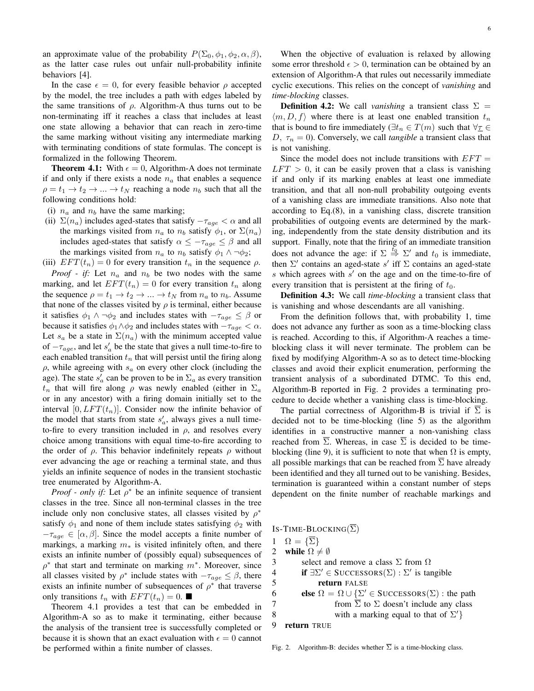an approximate value of the probability  $P(\Sigma_0, \phi_1, \phi_2, \alpha, \beta)$ , as the latter case rules out unfair null-probability infinite behaviors [4].

In the case  $\epsilon = 0$ , for every feasible behavior  $\rho$  accepted by the model, the tree includes a path with edges labeled by the same transitions of  $\rho$ . Algorithm-A thus turns out to be non-terminating iff it reaches a class that includes at least one state allowing a behavior that can reach in zero-time the same marking without visiting any intermediate marking with terminating conditions of state formulas. The concept is formalized in the following Theorem.

**Theorem 4.1:** With  $\epsilon = 0$ , Algorithm-A does not terminate if and only if there exists a node  $n_a$  that enables a sequence  $\rho = t_1 \rightarrow t_2 \rightarrow \dots \rightarrow t_N$  reaching a node  $n_b$  such that all the following conditions hold:

- (i)  $n_a$  and  $n_b$  have the same marking;
- (ii)  $\Sigma(n_a)$  includes aged-states that satisfy  $-\tau_{age} < \alpha$  and all the markings visited from  $n_a$  to  $n_b$  satisfy  $\phi_1$ , or  $\Sigma(n_a)$ includes aged-states that satisfy  $\alpha \leq -\tau_{age} \leq \beta$  and all the markings visited from  $n_a$  to  $n_b$  satisfy  $\phi_1 \wedge \neg \phi_2$ ;

(iii)  $EFT(t_n) = 0$  for every transition  $t_n$  in the sequence  $\rho$ . *Proof - if:* Let  $n_a$  and  $n_b$  be two nodes with the same marking, and let  $EFT(t_n) = 0$  for every transition  $t_n$  along the sequence  $\rho = t_1 \rightarrow t_2 \rightarrow \dots \rightarrow t_N$  from  $n_a$  to  $n_b$ . Assume that none of the classes visited by  $\rho$  is terminal, either because it satisfies  $\phi_1 \wedge \neg \phi_2$  and includes states with  $-\tau_{age} \leq \beta$  or because it satisfies  $\phi_1 \wedge \phi_2$  and includes states with  $-\tau_{age} < \alpha$ . Let  $s_a$  be a state in  $\Sigma(n_a)$  with the minimum accepted value of  $-\tau_{age}$ , and let  $s'_a$  be the state that gives a null time-to-fire to each enabled transition  $t_n$  that will persist until the firing along  $\rho$ , while agreeing with  $s_a$  on every other clock (including the age). The state  $s'_a$  can be proven to be in  $\Sigma_a$  as every transition  $t_n$  that will fire along  $\rho$  was newly enabled (either in  $\Sigma_a$ or in any ancestor) with a firing domain initially set to the interval  $[0, LFT(t_n)]$ . Consider now the infinite behavior of the model that starts from state  $s'_a$ , always gives a null timeto-fire to every transition included in  $\rho$ , and resolves every choice among transitions with equal time-to-fire according to the order of  $\rho$ . This behavior indefinitely repeats  $\rho$  without ever advancing the age or reaching a terminal state, and thus yields an infinite sequence of nodes in the transient stochastic tree enumerated by Algorithm-A.

*Proof - only if:* Let  $\rho^*$  be an infinite sequence of transient classes in the tree. Since all non-terminal classes in the tree include only non conclusive states, all classes visited by  $\rho^*$ satisfy  $\phi_1$  and none of them include states satisfying  $\phi_2$  with  $-\tau_{age} \in [\alpha, \beta]$ . Since the model accepts a finite number of markings, a marking  $m<sub>*</sub>$  is visited infinitely often, and there exists an infinite number of (possibly equal) subsequences of  $\rho^*$  that start and terminate on marking  $m^*$ . Moreover, since all classes visited by  $\rho^*$  include states with  $-\tau_{age} \leq \beta$ , there exists an infinite number of subsequences of  $\rho^*$  that traverse only transitions  $t_n$  with  $EFT(t_n) = 0$ .

Theorem 4.1 provides a test that can be embedded in Algorithm-A so as to make it terminating, either because the analysis of the transient tree is successfully completed or because it is shown that an exact evaluation with  $\epsilon = 0$  cannot be performed within a finite number of classes.

When the objective of evaluation is relaxed by allowing some error threshold  $\epsilon > 0$ , termination can be obtained by an extension of Algorithm-A that rules out necessarily immediate cyclic executions. This relies on the concept of *vanishing* and *time-blocking* classes.

**Definition 4.2:** We call *vanishing* a transient class  $\Sigma$  =  $\langle m, D, f \rangle$  where there is at least one enabled transition  $t_n$ that is bound to fire immediately ( $\exists t_n \in T(m)$  such that  $\forall \underline{\tau} \in$  $D, \tau_n = 0$ ). Conversely, we call *tangible* a transient class that is not vanishing.

Since the model does not include transitions with  $EFT =$  $LFT > 0$ , it can be easily proven that a class is vanishing if and only if its marking enables at least one immediate transition, and that all non-null probability outgoing events of a vanishing class are immediate transitions. Also note that according to Eq.(8), in a vanishing class, discrete transition probabilities of outgoing events are determined by the marking, independently from the state density distribution and its support. Finally, note that the firing of an immediate transition does not advance the age: if  $\Sigma \stackrel{t_0}{\Rightarrow} \Sigma'$  and  $t_0$  is immediate, then  $\Sigma'$  contains an aged-state s' iff  $\Sigma$  contains an aged-state  $s$  which agrees with  $s'$  on the age and on the time-to-fire of every transition that is persistent at the firing of  $t_0$ .

Definition 4.3: We call *time-blocking* a transient class that is vanishing and whose descendants are all vanishing.

From the definition follows that, with probability 1, time does not advance any further as soon as a time-blocking class is reached. According to this, if Algorithm-A reaches a timeblocking class it will never terminate. The problem can be fixed by modifying Algorithm-A so as to detect time-blocking classes and avoid their explicit enumeration, performing the transient analysis of a subordinated DTMC. To this end, Algorithm-B reported in Fig. 2 provides a terminating procedure to decide whether a vanishing class is time-blocking.

The partial correctness of Algorithm-B is trivial if  $\overline{\Sigma}$  is decided not to be time-blocking (line 5) as the algorithm identifies in a constructive manner a non-vanishing class reached from  $\overline{\Sigma}$ . Whereas, in case  $\overline{\Sigma}$  is decided to be timeblocking (line 9), it is sufficient to note that when  $\Omega$  is empty, all possible markings that can be reached from  $\Sigma$  have already been identified and they all turned out to be vanishing. Besides, termination is guaranteed within a constant number of steps dependent on the finite number of reachable markings and

IS-TIME-BLOCKING( $\overline{\Sigma}$ )

1  $\Omega = {\overline{\Sigma}}$ <br>2 while  $\Omega$  =

2 while  $\Omega \neq \emptyset$ <br>3 select and select and remove a class  $\Sigma$  from  $\Omega$ 4 if  $\exists \Sigma' \in \text{SUCCESSORS}(\Sigma) : \Sigma'$  is tangible 5 return FALSE 6 else  $\Omega = \Omega \cup {\Sigma' \in \text{SUCESSORS}(\Sigma) : \text{the path}}$ 

7 from  $\overline{\Sigma}$  to  $\Sigma$  doesn't include any class 8 with a marking equal to that of  $\Sigma'$ }

9 return TRUE

Fig. 2. Algorithm-B: decides whether  $\overline{\Sigma}$  is a time-blocking class.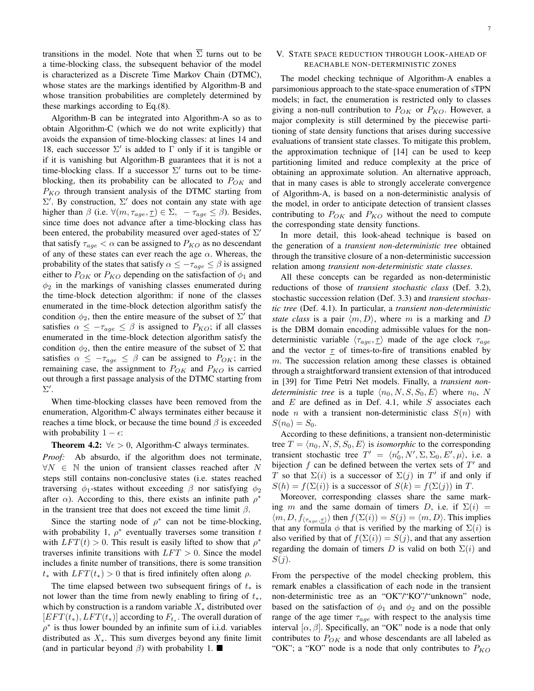transitions in the model. Note that when  $\overline{\Sigma}$  turns out to be a time-blocking class, the subsequent behavior of the model is characterized as a Discrete Time Markov Chain (DTMC), whose states are the markings identified by Algorithm-B and whose transition probabilities are completely determined by these markings according to Eq.(8).

Algorithm-B can be integrated into Algorithm-A so as to obtain Algorithm-C (which we do not write explicitly) that avoids the expansion of time-blocking classes: at lines 14 and 18, each successor  $\Sigma'$  is added to  $\Gamma$  only if it is tangible or if it is vanishing but Algorithm-B guarantees that it is not a time-blocking class. If a successor  $\Sigma'$  turns out to be timeblocking, then its probability can be allocated to  $P_{OK}$  and  $P_{KO}$  through transient analysis of the DTMC starting from  $\Sigma'$ . By construction,  $\Sigma'$  does not contain any state with age higher than  $\beta$  (i.e.  $\forall (m, \tau_{age}, \tau) \in \Sigma$ ,  $-\tau_{age} \leq \beta$ ). Besides, since time does not advance after a time-blocking class has been entered, the probability measured over aged-states of  $\Sigma'$ that satisfy  $\tau_{age} < \alpha$  can be assigned to  $P_{KO}$  as no descendant of any of these states can ever reach the age  $\alpha$ . Whereas, the probability of the states that satisfy  $\alpha \leq -\tau_{age} \leq \beta$  is assigned either to  $P_{OK}$  or  $P_{KO}$  depending on the satisfaction of  $\phi_1$  and  $\phi_2$  in the markings of vanishing classes enumerated during the time-block detection algorithm: if none of the classes enumerated in the time-block detection algorithm satisfy the condition  $\phi_2$ , then the entire measure of the subset of  $\Sigma'$  that satisfies  $\alpha \leq -\tau_{age} \leq \beta$  is assigned to  $P_{KO}$ ; if all classes enumerated in the time-block detection algorithm satisfy the condition  $\phi_2$ , then the entire measure of the subset of  $\Sigma$  that satisfies  $\alpha \leq -\tau_{age} \leq \beta$  can be assigned to  $P_{OK}$ ; in the remaining case, the assignment to  $P_{OK}$  and  $P_{KO}$  is carried out through a first passage analysis of the DTMC starting from  $\Sigma'.$ 

When time-blocking classes have been removed from the enumeration, Algorithm-C always terminates either because it reaches a time block, or because the time bound  $\beta$  is exceeded with probability  $1 - \epsilon$ :

**Theorem 4.2:**  $\forall \epsilon > 0$ , Algorithm-C always terminates.

*Proof:* Ab absurdo, if the algorithm does not terminate,  $\forall N \in \mathbb{N}$  the union of transient classes reached after N steps still contains non-conclusive states (i.e. states reached traversing  $\phi_1$ -states without exceeding  $\beta$  nor satisfying  $\phi_2$ after  $\alpha$ ). According to this, there exists an infinite path  $\rho^*$ in the transient tree that does not exceed the time limit  $\beta$ .

Since the starting node of  $\rho^*$  can not be time-blocking, with probability 1,  $\rho^*$  eventually traverses some transition t with  $LFT(t) > 0$ . This result is easily lifted to show that  $\rho^*$ traverses infinite transitions with  $LFT > 0$ . Since the model includes a finite number of transitions, there is some transition  $t_{\ast}$  with  $LFT(t_{\ast}) > 0$  that is fired infinitely often along  $\rho$ .

The time elapsed between two subsequent firings of  $t_*$  is not lower than the time from newly enabling to firing of  $t_*,$ which by construction is a random variable  $X_*$  distributed over  $[EFT(t_*), LFT(t_*)]$  according to  $F_{t_*}$ . The overall duration of  $\rho^*$  is thus lower bounded by an infinite sum of i.i.d. variables distributed as  $X_{*}$ . This sum diverges beyond any finite limit (and in particular beyond  $\beta$ ) with probability 1.

# V. STATE SPACE REDUCTION THROUGH LOOK-AHEAD OF REACHABLE NON-DETERMINISTIC ZONES

The model checking technique of Algorithm-A enables a parsimonious approach to the state-space enumeration of sTPN models; in fact, the enumeration is restricted only to classes giving a non-null contribution to  $P_{OK}$  or  $P_{KO}$ . However, a major complexity is still determined by the piecewise partitioning of state density functions that arises during successive evaluations of transient state classes. To mitigate this problem, the approximation technique of [14] can be used to keep partitioning limited and reduce complexity at the price of obtaining an approximate solution. An alternative approach, that in many cases is able to strongly accelerate convergence of Algorithm-A, is based on a non-deterministic analysis of the model, in order to anticipate detection of transient classes contributing to  $P_{OK}$  and  $P_{KO}$  without the need to compute the corresponding state density functions.

In more detail, this look-ahead technique is based on the generation of a *transient non-deterministic tree* obtained through the transitive closure of a non-deterministic succession relation among *transient non-deterministic state classes*.

All these concepts can be regarded as non-deterministic reductions of those of *transient stochastic class* (Def. 3.2), stochastic succession relation (Def. 3.3) and *transient stochastic tree* (Def. 4.1). In particular, a *transient non-deterministic state class* is a pair  $\langle m, D \rangle$ , where m is a marking and D is the DBM domain encoding admissible values for the nondeterministic variable  $\langle \tau_{age}, \tau \rangle$  made of the age clock  $\tau_{age}$ and the vector  $\tau$  of times-to-fire of transitions enabled by  $m$ . The succession relation among these classes is obtained through a straightforward transient extension of that introduced in [39] for Time Petri Net models. Finally, a *transient nondeterministic tree* is a tuple  $\langle n_0, N, S, S_0, E \rangle$  where  $n_0, N$ and  $E$  are defined as in Def. 4.1, while  $S$  associates each node *n* with a transient non-deterministic class  $S(n)$  with  $S(n_0) = S_0$ .

According to these definitions, a transient non-deterministic tree  $T = \langle n_0, N, S, S_0, E \rangle$  is *isomorphic* to the corresponding transient stochastic tree  $T' = \langle n'_0, N', \Sigma, \Sigma_0, E', \mu \rangle$ , i.e. a bijection  $f$  can be defined between the vertex sets of  $T'$  and T so that  $\Sigma(i)$  is a successor of  $\Sigma(j)$  in T' if and only if  $S(h) = f(\Sigma(i))$  is a successor of  $S(k) = f(\Sigma(j))$  in T.

Moreover, corresponding classes share the same marking m and the same domain of timers D, i.e. if  $\Sigma(i)$  =  $\langle m, D, f_{\langle \tau_{age}, \underline{\tau} \rangle} \rangle$  then  $f(\Sigma(i)) = S(j) = \langle m, D \rangle$ . This implies that any formula  $\phi$  that is verified by the marking of  $\Sigma(i)$  is also verified by that of  $f(\Sigma(i)) = S(i)$ , and that any assertion regarding the domain of timers D is valid on both  $\Sigma(i)$  and  $S(j).$ 

From the perspective of the model checking problem, this remark enables a classification of each node in the transient non-deterministic tree as an "OK"/"KO"/"unknown" node, based on the satisfaction of  $\phi_1$  and  $\phi_2$  and on the possible range of the age timer  $\tau_{age}$  with respect to the analysis time interval  $[\alpha, \beta]$ . Specifically, an "OK" node is a node that only contributes to  $P_{OK}$  and whose descendants are all labeled as "OK"; a "KO" node is a node that only contributes to  $P_{KO}$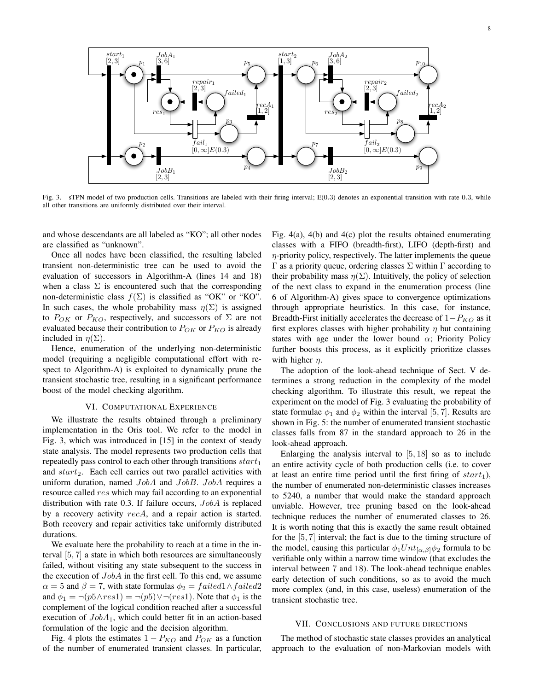

Fig. 3. sTPN model of two production cells. Transitions are labeled with their firing interval; E(0.3) denotes an exponential transition with rate 0.3, while all other transitions are uniformly distributed over their interval.

and whose descendants are all labeled as "KO"; all other nodes are classified as "unknown".

Once all nodes have been classified, the resulting labeled transient non-deterministic tree can be used to avoid the evaluation of successors in Algorithm-A (lines 14 and 18) when a class  $\Sigma$  is encountered such that the corresponding non-deterministic class  $f(\Sigma)$  is classified as "OK" or "KO". In such cases, the whole probability mass  $\eta(\Sigma)$  is assigned to  $P_{OK}$  or  $P_{KO}$ , respectively, and successors of  $\Sigma$  are not evaluated because their contribution to  $P_{OK}$  or  $P_{KO}$  is already included in  $\eta(\Sigma)$ .

Hence, enumeration of the underlying non-deterministic model (requiring a negligible computational effort with respect to Algorithm-A) is exploited to dynamically prune the transient stochastic tree, resulting in a significant performance boost of the model checking algorithm.

#### VI. COMPUTATIONAL EXPERIENCE

We illustrate the results obtained through a preliminary implementation in the Oris tool. We refer to the model in Fig. 3, which was introduced in [15] in the context of steady state analysis. The model represents two production cells that repeatedly pass control to each other through transitions  $start_1$ and  $start_2$ . Each cell carries out two parallel activities with uniform duration, named JobA and JobB. JobA requires a resource called res which may fail according to an exponential distribution with rate 0.3. If failure occurs, JobA is replaced by a recovery activity recA, and a repair action is started. Both recovery and repair activities take uniformly distributed durations.

We evaluate here the probability to reach at a time in the interval [5, 7] a state in which both resources are simultaneously failed, without visiting any state subsequent to the success in the execution of  $JobA$  in the first cell. To this end, we assume  $\alpha = 5$  and  $\beta = 7$ , with state formulas  $\phi_2 = failed1 \wedge failed2$ and  $\phi_1 = \neg(p5 \land res1) = \neg(p5) \lor \neg(res1)$ . Note that  $\phi_1$  is the complement of the logical condition reached after a successful execution of  $JobA_1$ , which could better fit in an action-based formulation of the logic and the decision algorithm.

Fig. 4 plots the estimates  $1 - P_{KO}$  and  $P_{OK}$  as a function of the number of enumerated transient classes. In particular, Fig. 4(a), 4(b) and 4(c) plot the results obtained enumerating classes with a FIFO (breadth-first), LIFO (depth-first) and  $\eta$ -priority policy, respectively. The latter implements the queue Γ as a priority queue, ordering classes  $\Sigma$  within Γ according to their probability mass  $\eta(\Sigma)$ . Intuitively, the policy of selection of the next class to expand in the enumeration process (line 6 of Algorithm-A) gives space to convergence optimizations through appropriate heuristics. In this case, for instance, Breadth-First initially accelerates the decrease of  $1-P_{KO}$  as it first explores classes with higher probability  $\eta$  but containing states with age under the lower bound  $\alpha$ ; Priority Policy further boosts this process, as it explicitly prioritize classes with higher  $\eta$ .

The adoption of the look-ahead technique of Sect. V determines a strong reduction in the complexity of the model checking algorithm. To illustrate this result, we repeat the experiment on the model of Fig. 3 evaluating the probability of state formulae  $\phi_1$  and  $\phi_2$  within the interval [5, 7]. Results are shown in Fig. 5: the number of enumerated transient stochastic classes falls from 87 in the standard approach to 26 in the look-ahead approach.

Enlarging the analysis interval to  $[5, 18]$  so as to include an entire activity cycle of both production cells (i.e. to cover at least an entire time period until the first firing of  $start_1$ ), the number of enumerated non-deterministic classes increases to 5240, a number that would make the standard approach unviable. However, tree pruning based on the look-ahead technique reduces the number of enumerated classes to 26. It is worth noting that this is exactly the same result obtained for the [5, 7] interval; the fact is due to the timing structure of the model, causing this particular  $\phi_1 U n t_{\alpha,\beta} \phi_2$  formula to be verifiable only within a narrow time window (that excludes the interval between 7 and 18). The look-ahead technique enables early detection of such conditions, so as to avoid the much more complex (and, in this case, useless) enumeration of the transient stochastic tree.

## VII. CONCLUSIONS AND FUTURE DIRECTIONS

The method of stochastic state classes provides an analytical approach to the evaluation of non-Markovian models with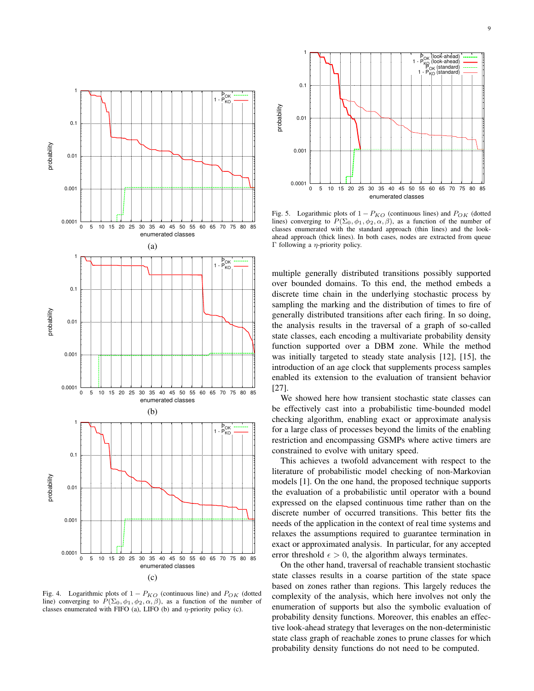

Fig. 4. Logarithmic plots of  $1 - P_{KO}$  (continuous line) and  $P_{OK}$  (dotted line) converging to  $\hat{P}(\Sigma_0, \phi_1, \phi_2, \alpha, \beta)$ , as a function of the number of classes enumerated with FIFO (a), LIFO (b) and  $\eta$ -priority policy (c).



Fig. 5. Logarithmic plots of  $1 - P_{KO}$  (continuous lines) and  $P_{OK}$  (dotted lines) converging to  $P(\Sigma_0, \phi_1, \phi_2, \alpha, \beta)$ , as a function of the number of classes enumerated with the standard approach (thin lines) and the lookahead approach (thick lines). In both cases, nodes are extracted from queue Γ following a  $η$ -priority policy.

multiple generally distributed transitions possibly supported over bounded domains. To this end, the method embeds a discrete time chain in the underlying stochastic process by sampling the marking and the distribution of times to fire of generally distributed transitions after each firing. In so doing, the analysis results in the traversal of a graph of so-called state classes, each encoding a multivariate probability density function supported over a DBM zone. While the method was initially targeted to steady state analysis [12], [15], the introduction of an age clock that supplements process samples enabled its extension to the evaluation of transient behavior [27].

We showed here how transient stochastic state classes can be effectively cast into a probabilistic time-bounded model checking algorithm, enabling exact or approximate analysis for a large class of processes beyond the limits of the enabling restriction and encompassing GSMPs where active timers are constrained to evolve with unitary speed.

This achieves a twofold advancement with respect to the literature of probabilistic model checking of non-Markovian models [1]. On the one hand, the proposed technique supports the evaluation of a probabilistic until operator with a bound expressed on the elapsed continuous time rather than on the discrete number of occurred transitions. This better fits the needs of the application in the context of real time systems and relaxes the assumptions required to guarantee termination in exact or approximated analysis. In particular, for any accepted error threshold  $\epsilon > 0$ , the algorithm always terminates.

On the other hand, traversal of reachable transient stochastic state classes results in a coarse partition of the state space based on zones rather than regions. This largely reduces the complexity of the analysis, which here involves not only the enumeration of supports but also the symbolic evaluation of probability density functions. Moreover, this enables an effective look-ahead strategy that leverages on the non-deterministic state class graph of reachable zones to prune classes for which probability density functions do not need to be computed.